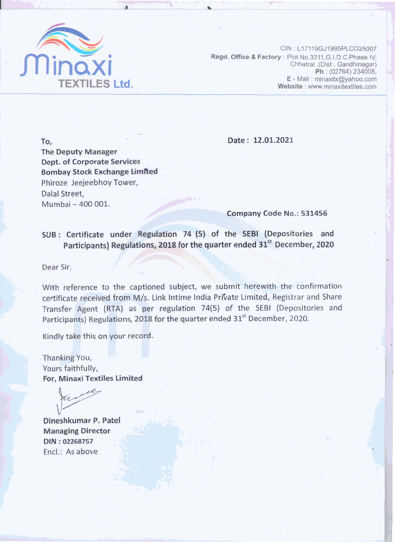

CIN: L17119GJ1995PLCO25007 Regd. Office & Factory: Plot No.3311.G.I.D.C.Phase IV. Chhatral .(Dist . Gandhinagar) Ph: (02764) 234008, E - Mail: minaxitx@yahoo.com Website: www.minaxitextiles.com

Date: 12.01.2021

**The Deputy Manager Dept. of Corporate Services Bombay Stock Exchange Limited** Phiroze Jeejeebhoy Tower, Dalal Street. Mumbai - 400 001.

Company Code No.: 531456

SUB: Certificate under Regulation 74 (5) of the SEBI (Depositories and Participants) Regulations, 2018 for the quarter ended 31<sup>st</sup> December, 2020

Dear Sir,

To,

With reference to the captioned subject, we submit herewith the confirmation certificate received from M/s. Link Intime India Private Limited, Registrar and Share Transfer Agent (RTA) as per regulation 74(5) of the SEBI (Depositories and Participants) Regulations, 2018 for the quarter ended 31<sup>st</sup> December, 2020.

Kindly take this on your record.

Thanking You, Yours faithfully, For, Minaxi Textiles Limited

Dineshkumar P. Patel **Managing Director** DIN: 02268757 Encl.: As above